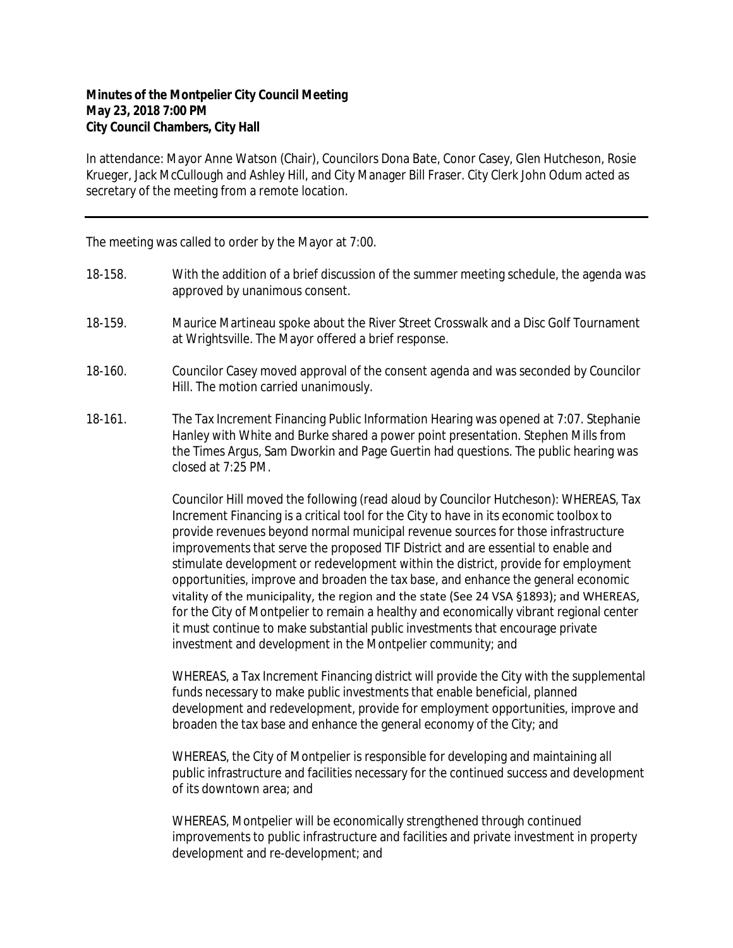## **Minutes of the Montpelier City Council Meeting May 23, 2018 7:00 PM City Council Chambers, City Hall**

In attendance: Mayor Anne Watson (Chair), Councilors Dona Bate, Conor Casey, Glen Hutcheson, Rosie Krueger, Jack McCullough and Ashley Hill, and City Manager Bill Fraser. City Clerk John Odum acted as secretary of the meeting from a remote location.

The meeting was called to order by the Mayor at 7:00.

- 18-158. With the addition of a brief discussion of the summer meeting schedule, the agenda was approved by unanimous consent.
- 18-159. Maurice Martineau spoke about the River Street Crosswalk and a Disc Golf Tournament at Wrightsville. The Mayor offered a brief response.
- 18-160. Councilor Casey moved approval of the consent agenda and was seconded by Councilor Hill. The motion carried unanimously.
- 18-161. The Tax Increment Financing Public Information Hearing was opened at 7:07. Stephanie Hanley with White and Burke shared a power point presentation. Stephen Mills from the Times Argus, Sam Dworkin and Page Guertin had questions. The public hearing was closed at 7:25 PM.

Councilor Hill moved the following (read aloud by Councilor Hutcheson): WHEREAS, Tax Increment Financing is a critical tool for the City to have in its economic toolbox to provide revenues beyond normal municipal revenue sources for those infrastructure improvements that serve the proposed TIF District and are essential to enable and stimulate development or redevelopment within the district, provide for employment opportunities, improve and broaden the tax base, and enhance the general economic vitality of the municipality, the region and the state (See 24 VSA §1893); and WHEREAS, for the City of Montpelier to remain a healthy and economically vibrant regional center it must continue to make substantial public investments that encourage private investment and development in the Montpelier community; and

WHEREAS, a Tax Increment Financing district will provide the City with the supplemental funds necessary to make public investments that enable beneficial, planned development and redevelopment, provide for employment opportunities, improve and broaden the tax base and enhance the general economy of the City; and

WHEREAS, the City of Montpelier is responsible for developing and maintaining all public infrastructure and facilities necessary for the continued success and development of its downtown area; and

WHEREAS, Montpelier will be economically strengthened through continued improvements to public infrastructure and facilities and private investment in property development and re-development; and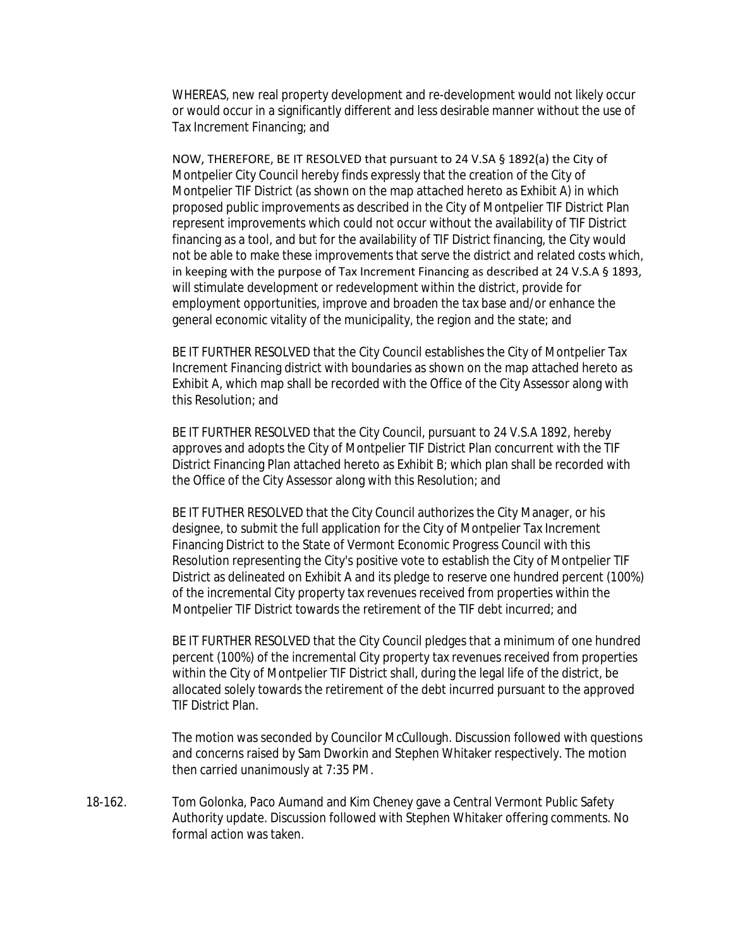WHEREAS, new real property development and re-development would not likely occur or would occur in a significantly different and less desirable manner without the use of Tax Increment Financing; and

NOW, THEREFORE, BE IT RESOLVED that pursuant to 24 V.SA § 1892(a) the City of Montpelier City Council hereby finds expressly that the creation of the City of Montpelier TIF District (as shown on the map attached hereto as Exhibit A) in which proposed public improvements as described in the City of Montpelier TIF District Plan represent improvements which could not occur without the availability of TIF District financing as a tool, and but for the availability of TIF District financing, the City would not be able to make these improvements that serve the district and related costs which, in keeping with the purpose of Tax Increment Financing as described at 24 V.S.A § 1893, will stimulate development or redevelopment within the district, provide for employment opportunities, improve and broaden the tax base and/or enhance the general economic vitality of the municipality, the region and the state; and

BE IT FURTHER RESOLVED that the City Council establishes the City of Montpelier Tax Increment Financing district with boundaries as shown on the map attached hereto as Exhibit A, which map shall be recorded with the Office of the City Assessor along with this Resolution; and

BE IT FURTHER RESOLVED that the City Council, pursuant to 24 V.S.A 1892, hereby approves and adopts the City of Montpelier TIF District Plan concurrent with the TIF District Financing Plan attached hereto as Exhibit B; which plan shall be recorded with the Office of the City Assessor along with this Resolution; and

BE IT FUTHER RESOLVED that the City Council authorizes the City Manager, or his designee, to submit the full application for the City of Montpelier Tax Increment Financing District to the State of Vermont Economic Progress Council with this Resolution representing the City's positive vote to establish the City of Montpelier TIF District as delineated on Exhibit A and its pledge to reserve one hundred percent (100%) of the incremental City property tax revenues received from properties within the Montpelier TIF District towards the retirement of the TIF debt incurred; and

BE IT FURTHER RESOLVED that the City Council pledges that a minimum of one hundred percent (100%) of the incremental City property tax revenues received from properties within the City of Montpelier TIF District shall, during the legal life of the district, be allocated solely towards the retirement of the debt incurred pursuant to the approved TIF District Plan.

The motion was seconded by Councilor McCullough. Discussion followed with questions and concerns raised by Sam Dworkin and Stephen Whitaker respectively. The motion then carried unanimously at 7:35 PM.

18-162. Tom Golonka, Paco Aumand and Kim Cheney gave a Central Vermont Public Safety Authority update. Discussion followed with Stephen Whitaker offering comments. No formal action was taken.